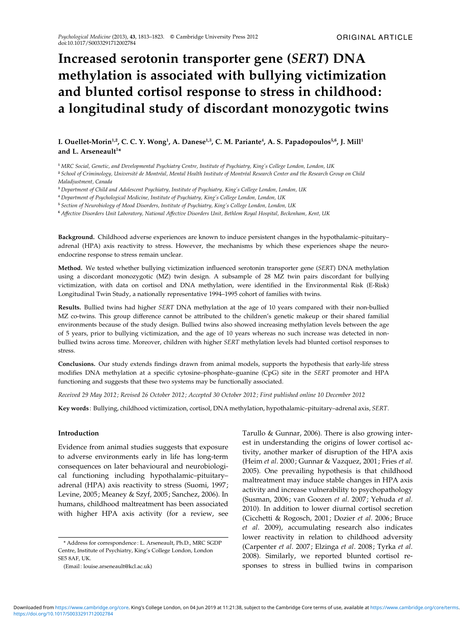# Increased serotonin transporter gene (SERT) DNA methylation is associated with bullying victimization and blunted cortisol response to stress in childhood: a longitudinal study of discordant monozygotic twins

# I. Ouellet-Morin<sup>1,2</sup>, C. C. Y. Wong<sup>1</sup>, A. Danese<sup>1,3</sup>, C. M. Pariante<sup>4</sup>, A. S. Papadopoulos<sup>5,6</sup>, J. Mill<sup>1</sup> and L. Arseneault<sup>1\*</sup>

<sup>1</sup> MRC Social, Genetic, and Developmental Psychiatry Centre, Institute of Psychiatry, King's College London, London, UK

<sup>2</sup> School of Criminology, Université de Montréal, Mental Health Institute of Montréal Research Center and the Research Group on Child Maladjustment, Canada

<sup>3</sup> Department of Child and Adolescent Psychiatry, Institute of Psychiatry, King's College London, London, UK

<sup>4</sup> Department of Psychological Medicine, Institute of Psychiatry, King's College London, London, UK

<sup>5</sup> Section of Neurobiology of Mood Disorders, Institute of Psychiatry, King's College London, London, UK

<sup>6</sup> Affective Disorders Unit Laboratory, National Affective Disorders Unit, Bethlem Royal Hospital, Beckenham, Kent, UK

Background. Childhood adverse experiences are known to induce persistent changes in the hypothalamic–pituitary– adrenal (HPA) axis reactivity to stress. However, the mechanisms by which these experiences shape the neuroendocrine response to stress remain unclear.

Method. We tested whether bullying victimization influenced serotonin transporter gene (SERT) DNA methylation using a discordant monozygotic (MZ) twin design. A subsample of 28 MZ twin pairs discordant for bullying victimization, with data on cortisol and DNA methylation, were identified in the Environmental Risk (E-Risk) Longitudinal Twin Study, a nationally representative 1994–1995 cohort of families with twins.

Results. Bullied twins had higher SERT DNA methylation at the age of 10 years compared with their non-bullied MZ co-twins. This group difference cannot be attributed to the children's genetic makeup or their shared familial environments because of the study design. Bullied twins also showed increasing methylation levels between the age of 5 years, prior to bullying victimization, and the age of 10 years whereas no such increase was detected in nonbullied twins across time. Moreover, children with higher SERT methylation levels had blunted cortisol responses to stress.

Conclusions. Our study extends findings drawn from animal models, supports the hypothesis that early-life stress modifies DNA methylation at a specific cytosine–phosphate–guanine (CpG) site in the SERT promoter and HPA functioning and suggests that these two systems may be functionally associated.

Received 29 May 2012 ; Revised 26 October 2012; Accepted 30 October 2012 ; First published online 10 December 2012

Key words : Bullying, childhood victimization, cortisol, DNA methylation, hypothalamic–pituitary–adrenal axis, SERT.

#### Introduction

Evidence from animal studies suggests that exposure to adverse environments early in life has long-term consequences on later behavioural and neurobiological functioning including hypothalamic–pituitary– adrenal (HPA) axis reactivity to stress (Suomi, 1997; Levine, 2005; Meaney & Szyf, 2005; Sanchez, 2006). In humans, childhood maltreatment has been associated with higher HPA axis activity (for a review, see Tarullo & Gunnar, 2006). There is also growing interest in understanding the origins of lower cortisol activity, another marker of disruption of the HPA axis (Heim et al. 2000; Gunnar & Vazquez, 2001; Fries et al. 2005). One prevailing hypothesis is that childhood maltreatment may induce stable changes in HPA axis activity and increase vulnerability to psychopathology (Susman, 2006; van Goozen et al. 2007; Yehuda et al. 2010). In addition to lower diurnal cortisol secretion (Cicchetti & Rogosch, 2001; Dozier et al. 2006; Bruce et al. 2009), accumulating research also indicates lower reactivity in relation to childhood adversity (Carpenter et al. 2007; Elzinga et al. 2008; Tyrka et al. 2008). Similarly, we reported blunted cortisol responses to stress in bullied twins in comparison

<sup>\*</sup> Address for correspondence : L. Arseneault, Ph.D., MRC SGDP Centre, Institute of Psychiatry, King's College London, London SE5 8AF, UK.

<sup>(</sup>Email : louise.arseneault@kcl.ac.uk)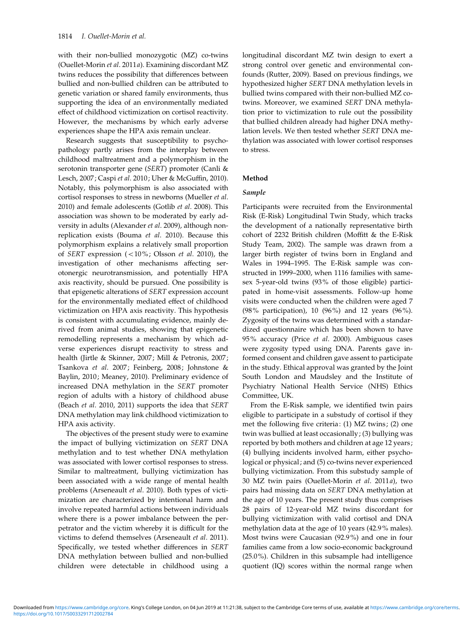with their non-bullied monozygotic (MZ) co-twins (Ouellet-Morin et al. 2011a). Examining discordant MZ twins reduces the possibility that differences between bullied and non-bullied children can be attributed to genetic variation or shared family environments, thus supporting the idea of an environmentally mediated effect of childhood victimization on cortisol reactivity. However, the mechanisms by which early adverse experiences shape the HPA axis remain unclear.

Research suggests that susceptibility to psychopathology partly arises from the interplay between childhood maltreatment and a polymorphism in the serotonin transporter gene (SERT) promoter (Canli & Lesch, 2007; Caspi et al. 2010; Uher & McGuffin, 2010). Notably, this polymorphism is also associated with cortisol responses to stress in newborns (Mueller et al. 2010) and female adolescents (Gotlib et al. 2008). This association was shown to be moderated by early adversity in adults (Alexander et al. 2009), although nonreplication exists (Bouma et al. 2010). Because this polymorphism explains a relatively small proportion of SERT expression (<10%; Olsson et al. 2010), the investigation of other mechanisms affecting serotonergic neurotransmission, and potentially HPA axis reactivity, should be pursued. One possibility is that epigenetic alterations of SERT expression account for the environmentally mediated effect of childhood victimization on HPA axis reactivity. This hypothesis is consistent with accumulating evidence, mainly derived from animal studies, showing that epigenetic remodelling represents a mechanism by which adverse experiences disrupt reactivity to stress and health (Jirtle & Skinner, 2007; Mill & Petronis, 2007; Tsankova et al. 2007; Feinberg, 2008; Johnstone & Baylin, 2010; Meaney, 2010). Preliminary evidence of increased DNA methylation in the SERT promoter region of adults with a history of childhood abuse (Beach et al. 2010, 2011) supports the idea that SERT DNA methylation may link childhood victimization to HPA axis activity.

The objectives of the present study were to examine the impact of bullying victimization on SERT DNA methylation and to test whether DNA methylation was associated with lower cortisol responses to stress. Similar to maltreatment, bullying victimization has been associated with a wide range of mental health problems (Arseneault et al. 2010). Both types of victimization are characterized by intentional harm and involve repeated harmful actions between individuals where there is a power imbalance between the perpetrator and the victim whereby it is difficult for the victims to defend themselves (Arseneault et al. 2011). Specifically, we tested whether differences in SERT DNA methylation between bullied and non-bullied children were detectable in childhood using a

longitudinal discordant MZ twin design to exert a strong control over genetic and environmental confounds (Rutter, 2009). Based on previous findings, we hypothesized higher SERT DNA methylation levels in bullied twins compared with their non-bullied MZ cotwins. Moreover, we examined SERT DNA methylation prior to victimization to rule out the possibility that bullied children already had higher DNA methylation levels. We then tested whether SERT DNA methylation was associated with lower cortisol responses to stress.

# Method

# Sample

Participants were recruited from the Environmental Risk (E-Risk) Longitudinal Twin Study, which tracks the development of a nationally representative birth cohort of 2232 British children (Moffitt & the E-Risk Study Team, 2002). The sample was drawn from a larger birth register of twins born in England and Wales in 1994–1995. The E-Risk sample was constructed in 1999–2000, when 1116 families with samesex 5-year-old twins (93% of those eligible) participated in home-visit assessments. Follow-up home visits were conducted when the children were aged 7 (98% participation), 10 (96%) and 12 years (96%). Zygosity of the twins was determined with a standardized questionnaire which has been shown to have 95% accuracy (Price et al. 2000). Ambiguous cases were zygosity typed using DNA. Parents gave informed consent and children gave assent to participate in the study. Ethical approval was granted by the Joint South London and Maudsley and the Institute of Psychiatry National Health Service (NHS) Ethics Committee, UK.

From the E-Risk sample, we identified twin pairs eligible to participate in a substudy of cortisol if they met the following five criteria: (1) MZ twins; (2) one twin was bullied at least occasionally; (3) bullying was reported by both mothers and children at age 12 years; (4) bullying incidents involved harm, either psychological or physical; and (5) co-twins never experienced bullying victimization. From this substudy sample of 30 MZ twin pairs (Ouellet-Morin et al. 2011a), two pairs had missing data on SERT DNA methylation at the age of 10 years. The present study thus comprises 28 pairs of 12-year-old MZ twins discordant for bullying victimization with valid cortisol and DNA methylation data at the age of 10 years (42.9% males). Most twins were Caucasian (92.9%) and one in four families came from a low socio-economic background (25.0%). Children in this subsample had intelligence quotient (IQ) scores within the normal range when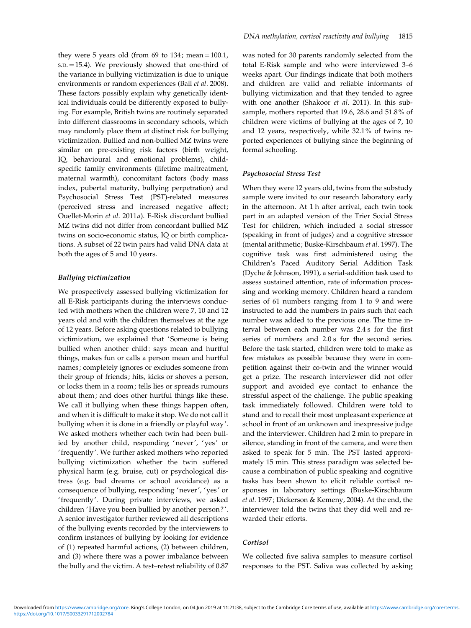they were 5 years old (from  $69$  to  $134$ ; mean=100.1, S.D.=15.4). We previously showed that one-third of the variance in bullying victimization is due to unique environments or random experiences (Ball et al. 2008). These factors possibly explain why genetically identical individuals could be differently exposed to bullying. For example, British twins are routinely separated into different classrooms in secondary schools, which may randomly place them at distinct risk for bullying victimization. Bullied and non-bullied MZ twins were similar on pre-existing risk factors (birth weight, IQ, behavioural and emotional problems), childspecific family environments (lifetime maltreatment, maternal warmth), concomitant factors (body mass index, pubertal maturity, bullying perpetration) and Psychosocial Stress Test (PST)-related measures (perceived stress and increased negative affect; Ouellet-Morin et al. 2011a). E-Risk discordant bullied MZ twins did not differ from concordant bullied MZ twins on socio-economic status, IQ or birth complications. A subset of 22 twin pairs had valid DNA data at both the ages of 5 and 10 years.

## Bullying victimization

We prospectively assessed bullying victimization for all E-Risk participants during the interviews conducted with mothers when the children were 7, 10 and 12 years old and with the children themselves at the age of 12 years. Before asking questions related to bullying victimization, we explained that 'Someone is being bullied when another child: says mean and hurtful things, makes fun or calls a person mean and hurtful names; completely ignores or excludes someone from their group of friends; hits, kicks or shoves a person, or locks them in a room; tells lies or spreads rumours about them; and does other hurtful things like these. We call it bullying when these things happen often, and when it is difficult to make it stop. We do not call it bullying when it is done in a friendly or playful way'. We asked mothers whether each twin had been bullied by another child, responding 'never', ' yes' or ' frequently'. We further asked mothers who reported bullying victimization whether the twin suffered physical harm (e.g. bruise, cut) or psychological distress (e.g. bad dreams or school avoidance) as a consequence of bullying, responding 'never', ' yes' or ' frequently'. During private interviews, we asked children 'Have you been bullied by another person ?'. A senior investigator further reviewed all descriptions of the bullying events recorded by the interviewers to confirm instances of bullying by looking for evidence of (1) repeated harmful actions, (2) between children, and (3) where there was a power imbalance between the bully and the victim. A test–retest reliability of 0.87

was noted for 30 parents randomly selected from the total E-Risk sample and who were interviewed 3–6 weeks apart. Our findings indicate that both mothers and children are valid and reliable informants of bullying victimization and that they tended to agree with one another (Shakoor et al. 2011). In this subsample, mothers reported that 19.6, 28.6 and 51.8% of children were victims of bullying at the ages of 7, 10 and 12 years, respectively, while 32.1% of twins reported experiences of bullying since the beginning of formal schooling.

### Psychosocial Stress Test

When they were 12 years old, twins from the substudy sample were invited to our research laboratory early in the afternoon. At 1 h after arrival, each twin took part in an adapted version of the Trier Social Stress Test for children, which included a social stressor (speaking in front of judges) and a cognitive stressor (mental arithmetic; Buske-Kirschbaum et al. 1997). The cognitive task was first administered using the Children's Paced Auditory Serial Addition Task (Dyche & Johnson, 1991), a serial-addition task used to assess sustained attention, rate of information processing and working memory. Children heard a random series of 61 numbers ranging from 1 to 9 and were instructed to add the numbers in pairs such that each number was added to the previous one. The time interval between each number was 2.4 s for the first series of numbers and 2.0 s for the second series. Before the task started, children were told to make as few mistakes as possible because they were in competition against their co-twin and the winner would get a prize. The research interviewer did not offer support and avoided eye contact to enhance the stressful aspect of the challenge. The public speaking task immediately followed. Children were told to stand and to recall their most unpleasant experience at school in front of an unknown and inexpressive judge and the interviewer. Children had 2 min to prepare in silence, standing in front of the camera, and were then asked to speak for 5 min. The PST lasted approximately 15 min. This stress paradigm was selected because a combination of public speaking and cognitive tasks has been shown to elicit reliable cortisol responses in laboratory settings (Buske-Kirschbaum et al. 1997; Dickerson & Kemeny, 2004). At the end, the interviewer told the twins that they did well and rewarded their efforts.

## Cortisol

We collected five saliva samples to measure cortisol responses to the PST. Saliva was collected by asking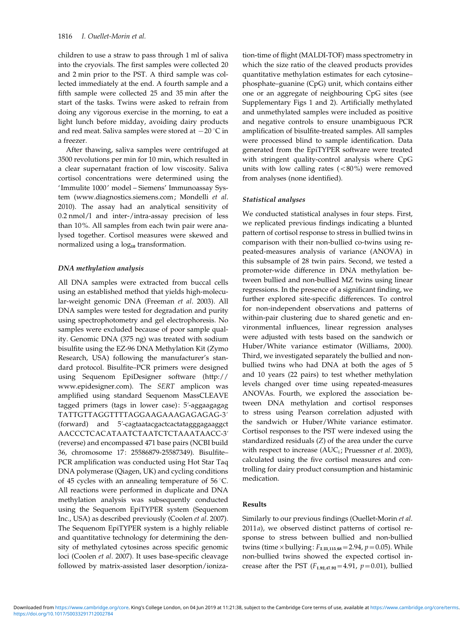children to use a straw to pass through 1 ml of saliva into the cryovials. The first samples were collected 20 and 2 min prior to the PST. A third sample was collected immediately at the end. A fourth sample and a fifth sample were collected 25 and 35 min after the start of the tasks. Twins were asked to refrain from doing any vigorous exercise in the morning, to eat a light lunch before midday, avoiding dairy products and red meat. Saliva samples were stored at  $-20$  °C in a freezer.

After thawing, saliva samples were centrifuged at 3500 revolutions per min for 10 min, which resulted in a clear supernatant fraction of low viscosity. Saliva cortisol concentrations were determined using the ' Immulite 1000' model – Siemens' Immunoassay System (www.diagnostics.siemens.com; Mondelli et al. 2010). The assay had an analytical sensitivity of 0.2 nmol/l and inter-/intra-assay precision of less than 10%. All samples from each twin pair were analysed together. Cortisol measures were skewed and normalized using a  $log_{10}$  transformation.

## DNA methylation analysis

All DNA samples were extracted from buccal cells using an established method that yields high-molecular-weight genomic DNA (Freeman et al. 2003). All DNA samples were tested for degradation and purity using spectrophotometry and gel electrophoresis. No samples were excluded because of poor sample quality. Genomic DNA (375 ng) was treated with sodium bisulfite using the EZ-96 DNA Methylation Kit (Zymo Research, USA) following the manufacturer's standard protocol. Bisulfite–PCR primers were designed using Sequenom EpiDesigner software (http:// www.epidesigner.com). The SERT amplicon was amplified using standard Sequenom MassCLEAVE tagged primers (tags in lower case): 5'-aggaagagag TATTGTTAGGTTTTAGGAAGAAAGAGAGAG-3k  $(forward)$  and  $5'-cagtaatacgactcactatagggagaggct$ AACCCTCACATAATCTAATCTCTAAATAACC-3k (reverse) and encompassed 471 base pairs (NCBI build 36, chromosome 17: 25586879-25587349). Bisulfite– PCR amplification was conducted using Hot Star Taq DNA polymerase (Qiagen, UK) and cycling conditions of 45 cycles with an annealing temperature of  $56^{\circ}$ C. All reactions were performed in duplicate and DNA methylation analysis was subsequently conducted using the Sequenom EpiTYPER system (Sequenom Inc., USA) as described previously (Coolen et al. 2007). The Sequenom EpiTYPER system is a highly reliable and quantitative technology for determining the density of methylated cytosines across specific genomic loci (Coolen et al. 2007). It uses base-specific cleavage followed by matrix-assisted laser desorption/ioniza-

tion-time of flight (MALDI-TOF) mass spectrometry in which the size ratio of the cleaved products provides quantitative methylation estimates for each cytosine– phosphate–guanine (CpG) unit, which contains either one or an aggregate of neighbouring CpG sites (see Supplementary Figs 1 and 2). Artificially methylated and unmethylated samples were included as positive and negative controls to ensure unambiguous PCR amplification of bisulfite-treated samples. All samples were processed blind to sample identification. Data generated from the EpiTYPER software were treated with stringent quality-control analysis where CpG units with low calling rates  $(<80\%)$  were removed from analyses (none identified).

### Statistical analyses

We conducted statistical analyses in four steps. First, we replicated previous findings indicating a blunted pattern of cortisol response to stress in bullied twins in comparison with their non-bullied co-twins using repeated-measures analysis of variance (ANOVA) in this subsample of 28 twin pairs. Second, we tested a promoter-wide difference in DNA methylation between bullied and non-bullied MZ twins using linear regressions. In the presence of a significant finding, we further explored site-specific differences. To control for non-independent observations and patterns of within-pair clustering due to shared genetic and environmental influences, linear regression analyses were adjusted with tests based on the sandwich or Huber/White variance estimator (Williams, 2000). Third, we investigated separately the bullied and nonbullied twins who had DNA at both the ages of 5 and 10 years (22 pairs) to test whether methylation levels changed over time using repeated-measures ANOVAs. Fourth, we explored the association between DNA methylation and cortisol responses to stress using Pearson correlation adjusted with the sandwich or Huber/White variance estimator. Cortisol responses to the PST were indexed using the standardized residuals (Z) of the area under the curve with respect to increase (AUC<sub>i</sub>; Pruessner et al. 2003), calculated using the five cortisol measures and controlling for dairy product consumption and histaminic medication.

### Results

Similarly to our previous findings (Ouellet-Morin et al. 2011a), we observed distinct patterns of cortisol response to stress between bullied and non-bullied twins (time  $\times$  bullying:  $F_{2.23,115.68}$  = 2.94,  $p$  = 0.05). While non-bullied twins showed the expected cortisol increase after the PST  $(F_{1,92,47,92} = 4.91, p = 0.01)$ , bullied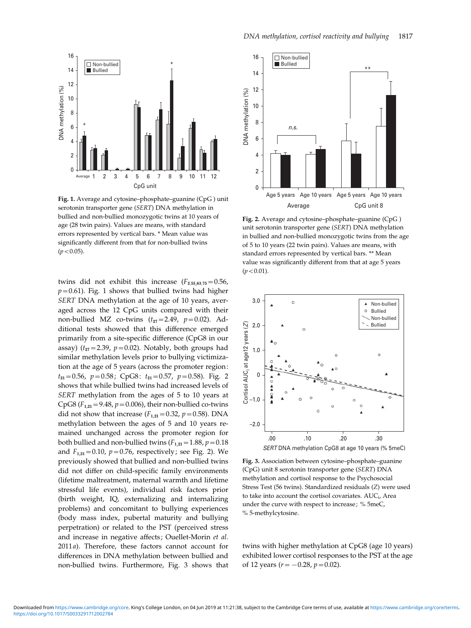

Fig. 1. Average and cytosine–phosphate–guanine (CpG ) unit serotonin transporter gene (SERT) DNA methylation in bullied and non-bullied monozygotic twins at 10 years of age (28 twin pairs). Values are means, with standard errors represented by vertical bars. \* Mean value was significantly different from that for non-bullied twins  $(p < 0.05)$ .

twins did not exhibit this increase  $(F_{2.55,63.75}=0.56,$  $p=0.61$ ). Fig. 1 shows that bullied twins had higher SERT DNA methylation at the age of 10 years, averaged across the 12 CpG units compared with their non-bullied MZ co-twins  $(t_{27}=2.49, p=0.02)$ . Additional tests showed that this difference emerged primarily from a site-specific difference (CpG8 in our assay) ( $t_{27}=2.39$ ,  $p=0.02$ ). Notably, both groups had similar methylation levels prior to bullying victimization at the age of 5 years (across the promoter region:  $t_{21}=0.56$ ,  $p=0.58$ ; CpG8:  $t_{21}=0.57$ ,  $p=0.58$ ). Fig. 2 shows that while bullied twins had increased levels of SERT methylation from the ages of 5 to 10 years at CpG8 ( $F_{1,21}$ =9.48,  $p$  = 0.006), their non-bullied co-twins did not show that increase  $(F_{1,21}=0.32, p=0.58)$ . DNA methylation between the ages of 5 and 10 years remained unchanged across the promoter region for both bullied and non-bullied twins ( $F_{1,21}$  = 1.88,  $p$  = 0.18 and  $F_{1,21} = 0.10$ ,  $p = 0.76$ , respectively; see Fig. 2). We previously showed that bullied and non-bullied twins did not differ on child-specific family environments (lifetime maltreatment, maternal warmth and lifetime stressful life events), individual risk factors prior (birth weight, IQ, externalizing and internalizing problems) and concomitant to bullying experiences (body mass index, pubertal maturity and bullying perpetration) or related to the PST (perceived stress and increase in negative affects; Ouellet-Morin et al. 2011a). Therefore, these factors cannot account for differences in DNA methylation between bullied and non-bullied twins. Furthermore, Fig. 3 shows that



Fig. 2. Average and cytosine–phosphate–guanine (CpG ) unit serotonin transporter gene (SERT) DNA methylation in bullied and non-bullied monozygotic twins from the age of 5 to 10 years (22 twin pairs). Values are means, with standard errors represented by vertical bars. \*\* Mean value was significantly different from that at age 5 years  $(p < 0.01)$ .



Fig. 3. Association between cytosine–phosphate–guanine (CpG) unit 8 serotonin transporter gene (SERT) DNA methylation and cortisol response to the Psychosocial Stress Test (56 twins). Standardized residuals (Z) were used to take into account the cortisol covariates. AUC<sub>i</sub>, Area under the curve with respect to increase; % 5meC, % 5-methylcytosine.

twins with higher methylation at CpG8 (age 10 years) exhibited lower cortisol responses to the PST at the age of 12 years ( $r = -0.28$ ,  $p = 0.02$ ).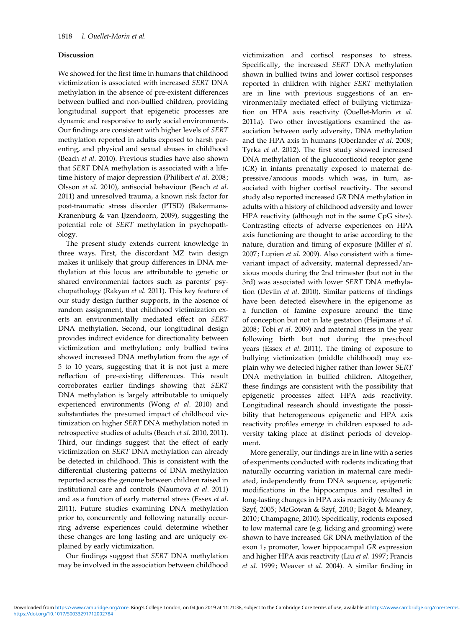### Discussion

We showed for the first time in humans that childhood victimization is associated with increased SERT DNA methylation in the absence of pre-existent differences between bullied and non-bullied children, providing longitudinal support that epigenetic processes are dynamic and responsive to early social environments. Our findings are consistent with higher levels of SERT methylation reported in adults exposed to harsh parenting, and physical and sexual abuses in childhood (Beach et al. 2010). Previous studies have also shown that SERT DNA methylation is associated with a lifetime history of major depression (Philibert et al. 2008; Olsson et al. 2010), antisocial behaviour (Beach et al. 2011) and unresolved trauma, a known risk factor for post-traumatic stress disorder (PTSD) (Bakermans-Kranenburg & van IJzendoorn, 2009), suggesting the potential role of SERT methylation in psychopathology.

The present study extends current knowledge in three ways. First, the discordant MZ twin design makes it unlikely that group differences in DNA methylation at this locus are attributable to genetic or shared environmental factors such as parents' psychopathology (Rakyan et al. 2011). This key feature of our study design further supports, in the absence of random assignment, that childhood victimization exerts an environmentally mediated effect on SERT DNA methylation. Second, our longitudinal design provides indirect evidence for directionality between victimization and methylation; only bullied twins showed increased DNA methylation from the age of 5 to 10 years, suggesting that it is not just a mere reflection of pre-existing differences. This result corroborates earlier findings showing that SERT DNA methylation is largely attributable to uniquely experienced environments (Wong et al. 2010) and substantiates the presumed impact of childhood victimization on higher SERT DNA methylation noted in retrospective studies of adults (Beach et al. 2010, 2011). Third, our findings suggest that the effect of early victimization on SERT DNA methylation can already be detected in childhood. This is consistent with the differential clustering patterns of DNA methylation reported across the genome between children raised in institutional care and controls (Naumova et al. 2011) and as a function of early maternal stress (Essex et al. 2011). Future studies examining DNA methylation prior to, concurrently and following naturally occurring adverse experiences could determine whether these changes are long lasting and are uniquely explained by early victimization.

Our findings suggest that SERT DNA methylation may be involved in the association between childhood

victimization and cortisol responses to stress. Specifically, the increased SERT DNA methylation shown in bullied twins and lower cortisol responses reported in children with higher SERT methylation are in line with previous suggestions of an environmentally mediated effect of bullying victimization on HPA axis reactivity (Ouellet-Morin et al. 2011a). Two other investigations examined the association between early adversity, DNA methylation and the HPA axis in humans (Oberlander et al. 2008; Tyrka et al. 2012). The first study showed increased DNA methylation of the glucocorticoid receptor gene (GR) in infants prenatally exposed to maternal depressive/anxious moods which was, in turn, associated with higher cortisol reactivity. The second study also reported increased GR DNA methylation in adults with a history of childhood adversity and lower HPA reactivity (although not in the same CpG sites). Contrasting effects of adverse experiences on HPA axis functioning are thought to arise according to the nature, duration and timing of exposure (Miller et al. 2007; Lupien et al. 2009). Also consistent with a timevariant impact of adversity, maternal depressed/anxious moods during the 2nd trimester (but not in the 3rd) was associated with lower SERT DNA methylation (Devlin et al. 2010). Similar patterns of findings have been detected elsewhere in the epigenome as a function of famine exposure around the time of conception but not in late gestation (Heijmans et al. 2008; Tobi et al. 2009) and maternal stress in the year following birth but not during the preschool years (Essex et al. 2011). The timing of exposure to bullying victimization (middle childhood) may explain why we detected higher rather than lower SERT DNA methylation in bullied children. Altogether, these findings are consistent with the possibility that epigenetic processes affect HPA axis reactivity. Longitudinal research should investigate the possibility that heterogeneous epigenetic and HPA axis reactivity profiles emerge in children exposed to adversity taking place at distinct periods of development.

More generally, our findings are in line with a series of experiments conducted with rodents indicating that naturally occurring variation in maternal care mediated, independently from DNA sequence, epigenetic modifications in the hippocampus and resulted in long-lasting changes in HPA axis reactivity (Meaney & Szyf, 2005; McGowan & Szyf, 2010; Bagot & Meaney, 2010; Champagne, 2010). Specifically, rodents exposed to low maternal care (e.g. licking and grooming) were shown to have increased GR DNA methylation of the exon  $1<sub>7</sub>$  promoter, lower hippocampal GR expression and higher HPA axis reactivity (Liu et al. 1997; Francis et al. 1999; Weaver et al. 2004). A similar finding in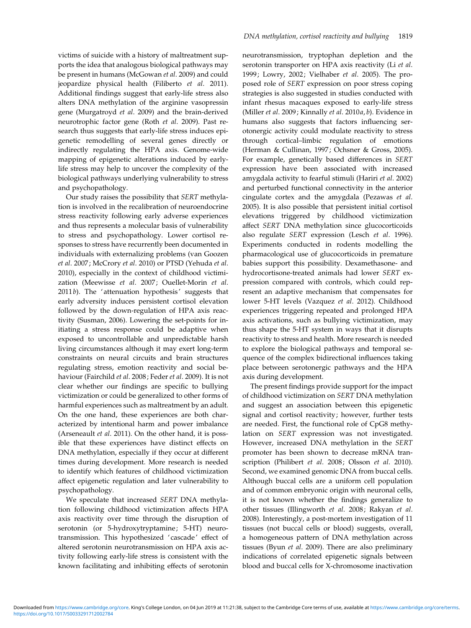victims of suicide with a history of maltreatment supports the idea that analogous biological pathways may be present in humans (McGowan et al. 2009) and could jeopardize physical health (Filiberto et al. 2011). Additional findings suggest that early-life stress also alters DNA methylation of the arginine vasopressin gene (Murgatroyd et al. 2009) and the brain-derived neurotrophic factor gene (Roth et al. 2009). Past research thus suggests that early-life stress induces epigenetic remodelling of several genes directly or indirectly regulating the HPA axis. Genome-wide mapping of epigenetic alterations induced by earlylife stress may help to uncover the complexity of the biological pathways underlying vulnerability to stress and psychopathology.

Our study raises the possibility that SERT methylation is involved in the recalibration of neuroendocrine stress reactivity following early adverse experiences and thus represents a molecular basis of vulnerability to stress and psychopathology. Lower cortisol responses to stress have recurrently been documented in individuals with externalizing problems (van Goozen et al. 2007; McCrory et al. 2010) or PTSD (Yehuda et al. 2010), especially in the context of childhood victimization (Meewisse et al. 2007; Ouellet-Morin et al.  $2011b$ ). The 'attenuation hypothesis' suggests that early adversity induces persistent cortisol elevation followed by the down-regulation of HPA axis reactivity (Susman, 2006). Lowering the set-points for initiating a stress response could be adaptive when exposed to uncontrollable and unpredictable harsh living circumstances although it may exert long-term constraints on neural circuits and brain structures regulating stress, emotion reactivity and social behaviour (Fairchild et al. 2008; Feder et al. 2009). It is not clear whether our findings are specific to bullying victimization or could be generalized to other forms of harmful experiences such as maltreatment by an adult. On the one hand, these experiences are both characterized by intentional harm and power imbalance (Arseneault et al. 2011). On the other hand, it is possible that these experiences have distinct effects on DNA methylation, especially if they occur at different times during development. More research is needed to identify which features of childhood victimization affect epigenetic regulation and later vulnerability to psychopathology.

We speculate that increased SERT DNA methylation following childhood victimization affects HPA axis reactivity over time through the disruption of serotonin (or 5-hydroxytryptamine; 5-HT) neurotransmission. This hypothesized 'cascade' effect of altered serotonin neurotransmission on HPA axis activity following early-life stress is consistent with the known facilitating and inhibiting effects of serotonin neurotransmission, tryptophan depletion and the serotonin transporter on HPA axis reactivity (Li et al. 1999; Lowry, 2002; Vielhaber et al. 2005). The proposed role of SERT expression on poor stress coping strategies is also suggested in studies conducted with infant rhesus macaques exposed to early-life stress (Miller et al. 2009; Kinnally et al. 2010a, b). Evidence in humans also suggests that factors influencing serotonergic activity could modulate reactivity to stress through cortical–limbic regulation of emotions (Herman & Cullinan, 1997; Ochsner & Gross, 2005). For example, genetically based differences in SERT expression have been associated with increased amygdala activity to fearful stimuli (Hariri et al. 2002) and perturbed functional connectivity in the anterior cingulate cortex and the amygdala (Pezawas et al. 2005). It is also possible that persistent initial cortisol elevations triggered by childhood victimization affect SERT DNA methylation since glucocorticoids also regulate SERT expression (Lesch et al. 1996). Experiments conducted in rodents modelling the pharmacological use of glucocorticoids in premature babies support this possibility. Dexamethasone- and hydrocortisone-treated animals had lower SERT expression compared with controls, which could represent an adaptive mechanism that compensates for lower 5-HT levels (Vazquez et al. 2012). Childhood experiences triggering repeated and prolonged HPA axis activations, such as bullying victimization, may thus shape the 5-HT system in ways that it disrupts reactivity to stress and health. More research is needed to explore the biological pathways and temporal sequence of the complex bidirectional influences taking place between serotonergic pathways and the HPA axis during development.

The present findings provide support for the impact of childhood victimization on SERT DNA methylation and suggest an association between this epigenetic signal and cortisol reactivity; however, further tests are needed. First, the functional role of CpG8 methylation on SERT expression was not investigated. However, increased DNA methylation in the SERT promoter has been shown to decrease mRNA transcription (Philibert et al. 2008; Olsson et al. 2010). Second, we examined genomic DNA from buccal cells. Although buccal cells are a uniform cell population and of common embryonic origin with neuronal cells, it is not known whether the findings generalize to other tissues (Illingworth et al. 2008; Rakyan et al. 2008). Interestingly, a post-mortem investigation of 11 tissues (not buccal cells or blood) suggests, overall, a homogeneous pattern of DNA methylation across tissues (Byun et al. 2009). There are also preliminary indications of correlated epigenetic signals between blood and buccal cells for X-chromosome inactivation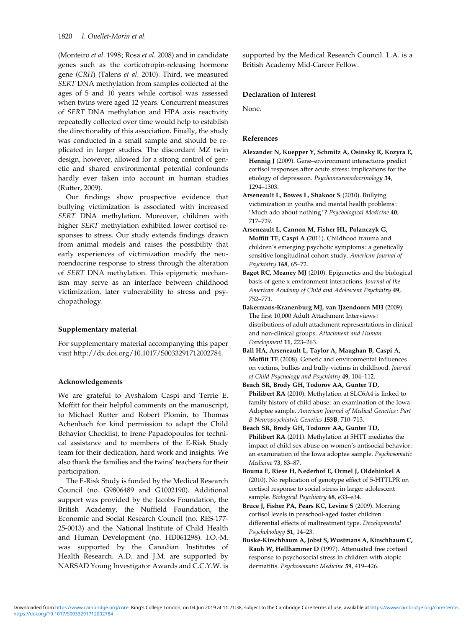(Monteiro et al. 1998; Rosa et al. 2008) and in candidate genes such as the corticotropin-releasing hormone gene (CRH) (Talens et al. 2010). Third, we measured SERT DNA methylation from samples collected at the ages of 5 and 10 years while cortisol was assessed when twins were aged 12 years. Concurrent measures of SERT DNA methylation and HPA axis reactivity repeatedly collected over time would help to establish the directionality of this association. Finally, the study was conducted in a small sample and should be replicated in larger studies. The discordant MZ twin design, however, allowed for a strong control of genetic and shared environmental potential confounds hardly ever taken into account in human studies (Rutter, 2009).

Our findings show prospective evidence that bullying victimization is associated with increased SERT DNA methylation. Moreover, children with higher SERT methylation exhibited lower cortisol responses to stress. Our study extends findings drawn from animal models and raises the possibility that early experiences of victimization modify the neuroendocrine response to stress through the alteration of SERT DNA methylation. This epigenetic mechanism may serve as an interface between childhood victimization, later vulnerability to stress and psychopathology.

## Supplementary material

For supplementary material accompanying this paper visit http://dx.doi.org/10.1017/S0033291712002784.

#### Acknowledgements

We are grateful to Avshalom Caspi and Terrie E. Moffitt for their helpful comments on the manuscript, to Michael Rutter and Robert Plomin, to Thomas Achenbach for kind permission to adapt the Child Behavior Checklist, to Irene Papadopoulos for technical assistance and to members of the E-Risk Study team for their dedication, hard work and insights. We also thank the families and the twins' teachers for their participation.

The E-Risk Study is funded by the Medical Research Council (no. G9806489 and G1002190). Additional support was provided by the Jacobs Foundation, the British Academy, the Nuffield Foundation, the Economic and Social Research Council (no. RES-177- 25-0013) and the National Institute of Child Health and Human Development (no. HD061298). I.O.-M. was supported by the Canadian Institutes of Health Research. A.D. and J.M. are supported by NARSAD Young Investigator Awards and C.C.Y.W. is supported by the Medical Research Council. L.A. is a British Academy Mid-Career Fellow.

# Declaration of Interest

None.

# References

- Alexander N, Kuepper Y, Schmitz A, Osinsky R, Kozyra E, Hennig J (2009). Gene–environment interactions predict cortisol responses after acute stress : implications for the etiology of depression. Psychoneuroendocrinology 34, 1294–1303.
- Arseneault L, Bowes L, Shakoor S (2010). Bullying victimization in youths and mental health problems : 'Much ado about nothing'? Psychological Medicine 40, 717–729.
- Arseneault L, Cannon M, Fisher HL, Polanczyk G, Moffitt TE, Caspi A (2011). Childhood trauma and children's emerging psychotic symptoms : a genetically sensitive longitudinal cohort study. American Journal of Psychiatry 168, 65–72.
- Bagot RC, Meaney MJ (2010). Epigenetics and the biological basis of gene x environment interactions. Journal of the American Academy of Child and Adolescent Psychiatry 49, 752–771.
- Bakermans-Kranenburg MJ, van IJzendoorn MH (2009). The first 10,000 Adult Attachment Interviews : distributions of adult attachment representations in clinical and non-clinical groups. Attachment and Human Development 11, 223–263.
- Ball HA, Arseneault L, Taylor A, Maughan B, Caspi A, Moffitt TE (2008). Genetic and environmental influences on victims, bullies and bully-victims in childhood. Journal of Child Psychology and Psychiatry 49, 104–112.
- Beach SR, Brody GH, Todorov AA, Gunter TD, Philibert RA (2010). Methylation at SLC6A4 is linked to family history of child abuse : an examination of the Iowa Adoptee sample. American Journal of Medical Genetics : Part B Neuropsychiatric Genetics 153B, 710–713.
- Beach SR, Brody GH, Todorov AA, Gunter TD, Philibert RA (2011). Methylation at 5HTT mediates the impact of child sex abuse on women's antisocial behavior : an examination of the Iowa adoptee sample. Psychosomatic Medicine 73, 83–87.
- Bouma E, Riese H, Nederhof E, Ormel J, Oldehinkel A (2010). No replication of genotype effect of 5-HTTLPR on cortisol response to social stress in larger adolescent sample. Biological Psychiatry 68, e33-e34.
- Bruce J, Fisher PA, Pears KC, Levine S (2009). Morning cortisol levels in preschool-aged foster children : differential effects of maltreatment type. Developmental Psychobiology 51, 14–23.
- Buske-Kirschbaum A, Jobst S, Wustmans A, Kirschbaum C, Rauh W, Hellhammer D (1997). Attenuated free cortisol response to psychosocial stress in children with atopic dermatitis. Psychosomatic Medicine 59, 419–426.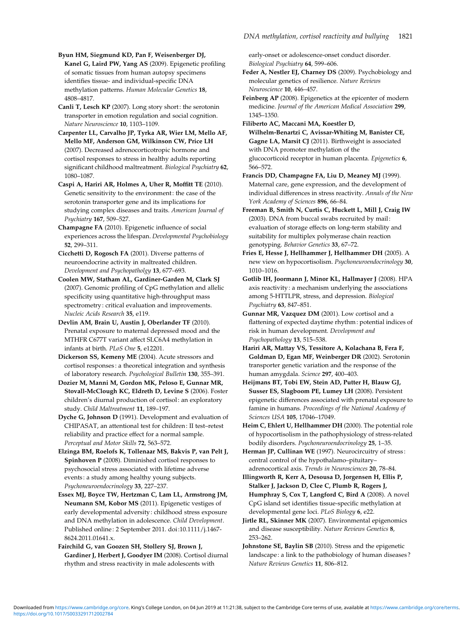Byun HM, Siegmund KD, Pan F, Weisenberger DJ, Kanel G, Laird PW, Yang AS (2009). Epigenetic profiling of somatic tissues from human autopsy specimens identifies tissue- and individual-specific DNA methylation patterns. Human Molecular Genetics 18, 4808–4817.

Canli T, Lesch KP (2007). Long story short: the serotonin transporter in emotion regulation and social cognition. Nature Neuroscience 10, 1103–1109.

Carpenter LL, Carvalho JP, Tyrka AR, Wier LM, Mello AF, Mello MF, Anderson GM, Wilkinson CW, Price LH (2007). Decreased adrenocorticotropic hormone and cortisol responses to stress in healthy adults reporting significant childhood maltreatment. Biological Psychiatry 62, 1080–1087.

Caspi A, Hariri AR, Holmes A, Uher R, Moffitt TE (2010). Genetic sensitivity to the environment : the case of the serotonin transporter gene and its implications for studying complex diseases and traits. American Journal of Psychiatry 167, 509–527.

Champagne FA (2010). Epigenetic influence of social experiences across the lifespan. Developmental Psychobiology 52, 299–311.

Cicchetti D, Rogosch FA (2001). Diverse patterns of neuroendocrine activity in maltreated children. Development and Psychopatholgy 13, 677–693.

Coolen MW, Statham AL, Gardiner-Garden M, Clark SJ (2007). Genomic profiling of CpG methylation and allelic specificity using quantitative high-throughput mass spectrometry : critical evaluation and improvements. Nucleic Acids Research 35, e119.

Devlin AM, Brain U, Austin J, Oberlander TF (2010). Prenatal exposure to maternal depressed mood and the MTHFR C677T variant affect SLC6A4 methylation in infants at birth. PLoS One 5, e12201.

Dickerson SS, Kemeny ME (2004). Acute stressors and cortisol responses : a theoretical integration and synthesis of laboratory research. Psychological Bulletin 130, 355–391.

Dozier M, Manni M, Gordon MK, Peloso E, Gunnar MR, Stovall-McClough KC, Eldreth D, Levine S (2006). Foster children's diurnal production of cortisol : an exploratory study. Child Maltreatment 11, 189–197.

Dyche G, Johnson D (1991). Development and evaluation of CHIPASAT, an attentional test for children : II test–retest reliability and practice effect for a normal sample. Perceptual and Motor Skills 72, 563–572.

Elzinga BM, Roelofs K, Tollenaar MS, Bakvis P, van Pelt J, Spinhoven P (2008). Diminished cortisol responses to psychosocial stress associated with lifetime adverse events: a study among healthy young subjects. Psychoneuroendocrinology 33, 227–237.

Essex MJ, Boyce TW, Hertzman C, Lam LL, Armstrong JM, Neumann SM, Kobor MS (2011). Epigenetic vestiges of early developmental adversity : childhood stress exposure and DNA methylation in adolescence. Child Development. Published online : 2 September 2011. doi :10.1111/j.1467- 8624.2011.01641.x.

Fairchild G, van Goozen SH, Stollery SJ, Brown J, Gardiner J, Herbert J, Goodyer IM (2008). Cortisol diurnal rhythm and stress reactivity in male adolescents with

early-onset or adolescence-onset conduct disorder. Biological Psychiatry 64, 599–606.

Feder A, Nestler EJ, Charney DS (2009). Psychobiology and molecular genetics of resilience. Nature Reviews Neuroscience 10, 446–457.

Feinberg AP (2008). Epigenetics at the epicenter of modern medicine. Journal of the American Medical Association 299, 1345–1350.

Filiberto AC, Maccani MA, Koestler D, Wilhelm-Benartzi C, Avissar-Whiting M, Banister CE, Gagne LA, Marsit CJ (2011). Birthweight is associated with DNA promoter methylation of the glucocorticoid receptor in human placenta. Epigenetics 6, 566–572.

Francis DD, Champagne FA, Liu D, Meaney MJ (1999). Maternal care, gene expression, and the development of individual differences in stress reactivity. Annals of the New York Academy of Sciences 896, 66–84.

Freeman B, Smith N, Curtis C, Huckett L, Mill J, Craig IW (2003). DNA from buccal swabs recruited by mail: evaluation of storage effects on long-term stability and suitability for multiplex polymerase chain reaction genotyping. Behavior Genetics 33, 67–72.

Fries E, Hesse J, Hellhammer J, Hellhammer DH (2005). A new view on hypocortisolism. Psychoneuroendocrinology 30, 1010–1016.

Gotlib IH, Joormann J, Minor KL, Hallmayer J (2008). HPA axis reactivity : a mechanism underlying the associations among 5-HTTLPR, stress, and depression. Biological Psychiatry 63, 847–851.

Gunnar MR, Vazquez DM (2001). Low cortisol and a flattening of expected daytime rhythm: potential indices of risk in human development. Development and Psychopathology 13, 515–538.

Hariri AR, Mattay VS, Tessitore A, Kolachana B, Fera F, Goldman D, Egan MF, Weinberger DR (2002). Serotonin transporter genetic variation and the response of the human amygdala. Science 297, 400–403.

Heijmans BT, Tobi EW, Stein AD, Putter H, Blauw GJ, Susser ES, Slagboom PE, Lumey LH (2008). Persistent epigenetic differences associated with prenatal exposure to famine in humans. Proceedings of the National Academy of Sciences USA 105, 17046–17049.

Heim C, Ehlert U, Hellhammer DH (2000). The potential role of hypocortisolism in the pathophysiology of stress-related bodily disorders. Psychoneuroendocrinology 25, 1–35.

Herman JP, Cullinan WE (1997). Neurocircuitry of stress: central control of the hypothalamo–pituitary–

adrenocortical axis. Trends in Neurosciences 20, 78–84. Illingworth R, Kerr A, Desousa D, Jorgensen H, Ellis P, Stalker J, Jackson D, Clee C, Plumb R, Rogers J, Humphray S, Cox T, Langford C, Bird A (2008). A novel CpG island set identifies tissue-specific methylation at developmental gene loci. PLoS Biology 6, e22.

Jirtle RL, Skinner MK (2007). Environmental epigenomics and disease susceptibility. Nature Reviews Genetics 8, 253–262.

Johnstone SE, Baylin SB (2010). Stress and the epigenetic landscape : a link to the pathobiology of human diseases ? Nature Reviews Genetics 11, 806–812.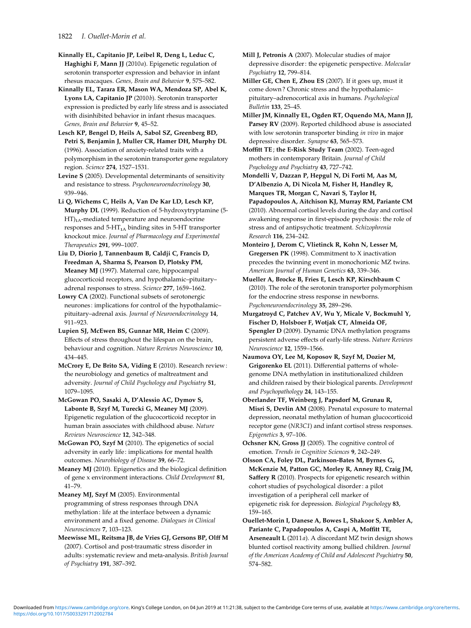Kinnally EL, Capitanio JP, Leibel R, Deng L, Leduc C, Haghighi F, Mann JJ (2010a). Epigenetic regulation of serotonin transporter expression and behavior in infant rhesus macaques. Genes, Brain and Behavior 9, 575–582.

Kinnally EL, Tarara ER, Mason WA, Mendoza SP, Abel K, Lyons LA, Capitanio JP (2010b). Serotonin transporter expression is predicted by early life stress and is associated with disinhibited behavior in infant rhesus macaques. Genes, Brain and Behavior 9, 45–52.

Lesch KP, Bengel D, Heils A, Sabol SZ, Greenberg BD, Petri S, Benjamin J, Muller CR, Hamer DH, Murphy DL (1996). Association of anxiety-related traits with a polymorphism in the serotonin transporter gene regulatory region. Science 274, 1527–1531.

Levine S (2005). Developmental determinants of sensitivity and resistance to stress. Psychoneuroendocrinology 30, 939–946.

Li Q, Wichems C, Heils A, Van De Kar LD, Lesch KP, Murphy DL (1999). Reduction of 5-hydroxytryptamine (5-  $HT)_{1A}$ -mediated temperature and neuroendocrine responses and  $5-HT<sub>1A</sub>$  binding sites in  $5-HT$  transporter knockout mice. Journal of Pharmacology and Experimental Therapeutics 291, 999–1007.

Liu D, Diorio J, Tannenbaum B, Caldji C, Francis D, Freedman A, Sharma S, Pearson D, Plotsky PM, Meaney MJ (1997). Maternal care, hippocampal glucocorticoid receptors, and hypothalamic–pituitary– adrenal responses to stress. Science 277, 1659–1662.

Lowry CA (2002). Functional subsets of serotonergic neurones : implications for control of the hypothalamic– pituitary–adrenal axis. Journal of Neuroendocrinology 14, 911–923.

Lupien SJ, McEwen BS, Gunnar MR, Heim C (2009). Effects of stress throughout the lifespan on the brain, behaviour and cognition. Nature Reviews Neuroscience 10, 434–445.

McCrory E, De Brito SA, Viding E (2010). Research review : the neurobiology and genetics of maltreatment and adversity. Journal of Child Psychology and Psychiatry 51, 1079–1095.

McGowan PO, Sasaki A, D'Alessio AC, Dymov S, Labonte B, Szyf M, Turecki G, Meaney MJ (2009). Epigenetic regulation of the glucocorticoid receptor in human brain associates with childhood abuse. Nature Reviews Neuroscience 12, 342–348.

McGowan PO, Szyf M (2010). The epigenetics of social adversity in early life: implications for mental health outcomes. Neurobiology of Disease 39, 66–72.

Meaney MJ (2010). Epigenetics and the biological definition of gene x environment interactions. Child Development 81, 41–79.

Meaney MJ, Szyf M (2005). Environmental programming of stress responses through DNA methylation : life at the interface between a dynamic environment and a fixed genome. Dialogues in Clinical Neurosciences 7, 103–123.

Meewisse ML, Reitsma JB, de Vries GJ, Gersons BP, Olff M (2007). Cortisol and post-traumatic stress disorder in adults: systematic review and meta-analysis. British Journal of Psychiatry 191, 387–392.

Mill I, Petronis A (2007). Molecular studies of major depressive disorder : the epigenetic perspective. Molecular Psychiatry 12, 799–814.

Miller GE, Chen E, Zhou ES (2007). If it goes up, must it come down ? Chronic stress and the hypothalamic– pituitary–adrenocortical axis in humans. Psychological Bulletin 133, 25–45.

Miller JM, Kinnally EL, Ogden RT, Oquendo MA, Mann JJ, Parsey RV (2009). Reported childhood abuse is associated with low serotonin transporter binding in vivo in major depressive disorder. Synapse 63, 565–573.

Moffitt TE; the E-Risk Study Team (2002). Teen-aged mothers in contemporary Britain. Journal of Child Psychology and Psychiatry 43, 727–742.

Mondelli V, Dazzan P, Hepgul N, Di Forti M, Aas M, D'Albenzio A, Di Nicola M, Fisher H, Handley R, Marques TR, Morgan C, Navari S, Taylor H, Papadopoulos A, Aitchison KJ, Murray RM, Pariante CM (2010). Abnormal cortisol levels during the day and cortisol awakening response in first-episode psychosis : the role of stress and of antipsychotic treatment. Schizophrenia Research 116, 234–242.

Monteiro J, Derom C, Vlietinck R, Kohn N, Lesser M, Gregersen PK (1998). Commitment to X inactivation precedes the twinning event in monochorionic MZ twins. American Journal of Human Genetics 63, 339–346.

Mueller A, Brocke B, Fries E, Lesch KP, Kirschbaum C (2010). The role of the serotonin transporter polymorphism for the endocrine stress response in newborns. Psychoneuroendocrinology 35, 289–296.

Murgatroyd C, Patchev AV, Wu Y, Micale V, Bockmuhl Y, Fischer D, Holsboer F, Wotjak CT, Almeida OF, Spengler D (2009). Dynamic DNA methylation programs persistent adverse effects of early-life stress. Nature Reviews Neuroscience 12, 1559–1566.

Naumova OY, Lee M, Koposov R, Szyf M, Dozier M, Grigorenko EL (2011). Differential patterns of wholegenome DNA methylation in institutionalized children and children raised by their biological parents. Development and Psychopathology 24, 143–155.

Oberlander TF, Weinberg J, Papsdorf M, Grunau R, Misri S, Devlin AM (2008). Prenatal exposure to maternal depression, neonatal methylation of human glucocorticoid receptor gene (NR3C1) and infant cortisol stress responses. Epigenetics 3, 97–106.

Ochsner KN, Gross JJ (2005). The cognitive control of emotion. Trends in Cognitive Sciences 9, 242–249.

Olsson CA, Foley DL, Parkinson-Bates M, Byrnes G, McKenzie M, Patton GC, Morley R, Anney RJ, Craig JM, Saffery R (2010). Prospects for epigenetic research within cohort studies of psychological disorder : a pilot investigation of a peripheral cell marker of epigenetic risk for depression. Biological Psychology 83, 159–165.

Ouellet-Morin I, Danese A, Bowes L, Shakoor S, Ambler A, Pariante C, Papadopoulos A, Caspi A, Moffitt TE, Arseneault L (2011a). A discordant MZ twin design shows blunted cortisol reactivity among bullied children. Journal of the American Academy of Child and Adolescent Psychiatry 50, 574–582.